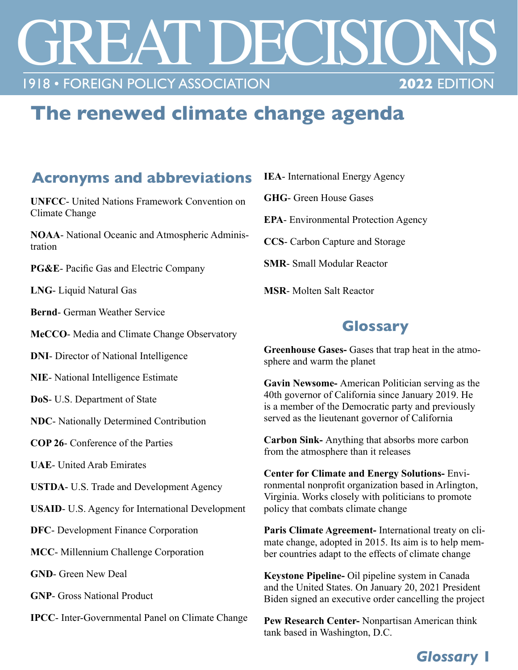# TREASES 1918 • FOREIGN POLICY ASSOCIATION

# **The renewed climate change agenda**

#### **Acronyms and abbreviations**

**UNFCC**- United Nations Framework Convention on Climate Change

**NOAA**- National Oceanic and Atmospheric Administration

**PG&E**- Pacific Gas and Electric Company

**LNG**- Liquid Natural Gas

**Bernd**- German Weather Service

**MeCCO**- Media and Climate Change Observatory

**DNI**- Director of National Intelligence

**NIE**- National Intelligence Estimate

**DoS**- U.S. Department of State

**NDC**- Nationally Determined Contribution

**COP 26**- Conference of the Parties

**UAE**- United Arab Emirates

**USTDA**- U.S. Trade and Development Agency

**USAID**- U.S. Agency for International Development

**DFC**- Development Finance Corporation

**MCC**- Millennium Challenge Corporation

**GND**- Green New Deal

**GNP**- Gross National Product

**IPCC**- Inter-Governmental Panel on Climate Change

**IEA**- International Energy Agency

**GHG**- Green House Gases

**EPA**- Environmental Protection Agency

**CCS**- Carbon Capture and Storage

**SMR**- Small Modular Reactor

**MSR**- Molten Salt Reactor

## **Glossary**

**Greenhouse Gases-** Gases that trap heat in the atmosphere and warm the planet

**Gavin Newsome-** American Politician serving as the 40th governor of California since January 2019. He is a member of the Democratic party and previously served as the lieutenant governor of California

**Carbon Sink-** Anything that absorbs more carbon from the atmosphere than it releases

**Center for Climate and Energy Solutions-** Environmental nonprofit organization based in Arlington, Virginia. Works closely with politicians to promote policy that combats climate change

**Paris Climate Agreement-** International treaty on climate change, adopted in 2015. Its aim is to help member countries adapt to the effects of climate change

**Keystone Pipeline-** Oil pipeline system in Canada and the United States. On January 20, 2021 President Biden signed an executive order cancelling the project

**Pew Research Center-** Nonpartisan American think tank based in Washington, D.C.

## *Glossary* **1**